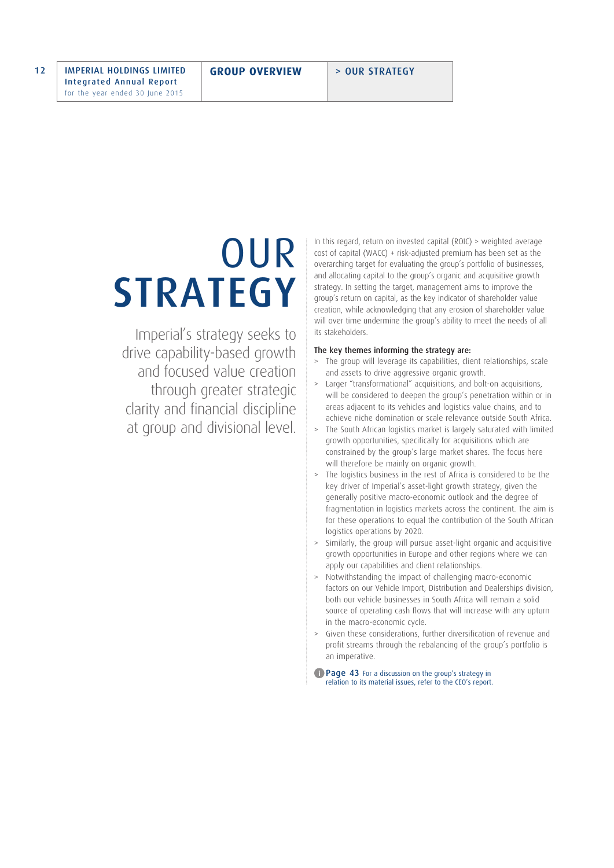# OUR **STRATEGY**

Imperial's strategy seeks to drive capability-based growth and focused value creation through greater strategic clarity and financial discipline at group and divisional level. In this regard, return on invested capital (ROIC) > weighted average cost of capital (WACC) + risk-adjusted premium has been set as the overarching target for evaluating the group's portfolio of businesses, and allocating capital to the group's organic and acquisitive growth strategy. In setting the target, management aims to improve the group's return on capital, as the key indicator of shareholder value creation, while acknowledging that any erosion of shareholder value will over time undermine the group's ability to meet the needs of all its stakeholders.

# The key themes informing the strategy are:

- > The group will leverage its capabilities, client relationships, scale and assets to drive aggressive organic growth.
- > Larger "transformational" acquisitions, and bolt-on acquisitions, will be considered to deepen the group's penetration within or in areas adjacent to its vehicles and logistics value chains, and to achieve niche domination or scale relevance outside South Africa.
- > The South African logistics market is largely saturated with limited growth opportunities, specifically for acquisitions which are constrained by the group's large market shares. The focus here will therefore be mainly on organic growth.
- > The logistics business in the rest of Africa is considered to be the key driver of Imperial's asset-light growth strategy, given the generally positive macro-economic outlook and the degree of fragmentation in logistics markets across the continent. The aim is for these operations to equal the contribution of the South African logistics operations by 2020.
- > Similarly, the group will pursue asset-light organic and acquisitive growth opportunities in Europe and other regions where we can apply our capabilities and client relationships.
- > Notwithstanding the impact of challenging macro-economic factors on our Vehicle Import, Distribution and Dealerships division, both our vehicle businesses in South Africa will remain a solid source of operating cash flows that will increase with any upturn in the macro-economic cycle.
- > Given these considerations, further diversification of revenue and profit streams through the rebalancing of the group's portfolio is an imperative.
- Page 43 For a discussion on the group's strategy in relation to its material issues, refer to the CEO's report.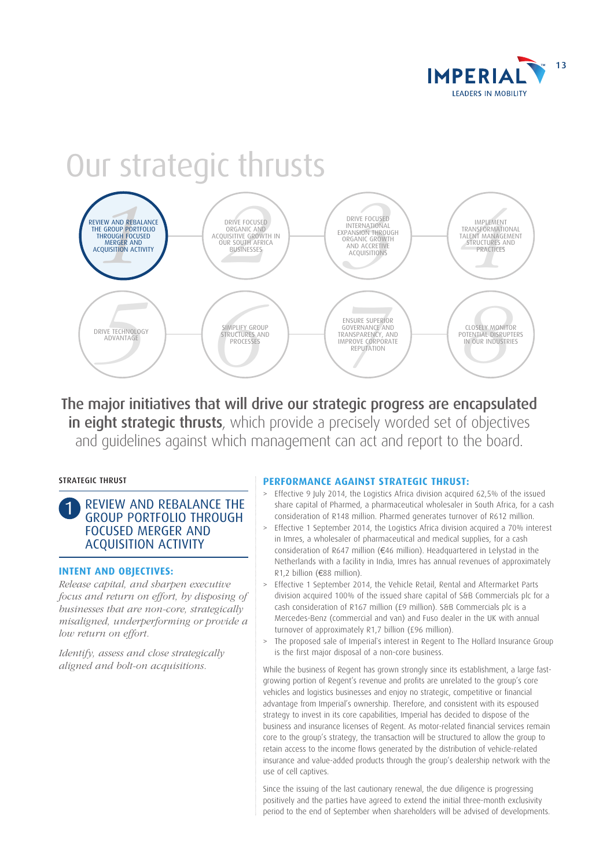

# Our strategic thrusts



The major initiatives that will drive our strategic progress are encapsulated in eight strategic thrusts, which provide a precisely worded set of objectives and guidelines against which management can act and report to the board.

# STRATEGIC THRUST

1 REVIEW AND REBALANCE THE GROUP PORTFOLIO THROUGH FOCUSED MERGER AND ACQUISITION ACTIVITY

# **INTENT AND OBJECTIVES:**

*Release capital, and sharpen executive focus and return on effort, by disposing of businesses that are non-core, strategically misaligned, underperforming or provide a low return on effort.*

*Identify, assess and close strategically aligned and bolt-on acquisitions.*

# **PERFORMANCE AGAINST STRATEGIC THRUST:**

- > Effective 9 July 2014, the Logistics Africa division acquired 62,5% of the issued share capital of Pharmed, a pharmaceutical wholesaler in South Africa, for a cash consideration of R148 million. Pharmed generates turnover of R612 million.
- > Effective 1 September 2014, the Logistics Africa division acquired a 70% interest in Imres, a wholesaler of pharmaceutical and medical supplies, for a cash consideration of R647 million ( $\epsilon$ 46 million). Headquartered in Lelystad in the Netherlands with a facility in India, Imres has annual revenues of approximately R1,2 billion (€88 million).
- Effective 1 September 2014, the Vehicle Retail, Rental and Aftermarket Parts division acquired 100% of the issued share capital of S&B Commercials plc for a cash consideration of R167 million (£9 million). S&B Commercials plc is a Mercedes-Benz (commercial and van) and Fuso dealer in the UK with annual turnover of approximately R1,7 billion (£96 million).
- > The proposed sale of Imperial`s interest in Regent to The Hollard Insurance Group is the first major disposal of a non-core business.

While the business of Regent has grown strongly since its establishment, a large fastgrowing portion of Regent's revenue and profits are unrelated to the group's core vehicles and logistics businesses and enjoy no strategic, competitive or financial advantage from Imperial's ownership. Therefore, and consistent with its espoused strategy to invest in its core capabilities, Imperial has decided to dispose of the business and insurance licenses of Regent. As motor-related financial services remain core to the group's strategy, the transaction will be structured to allow the group to retain access to the income flows generated by the distribution of vehicle-related insurance and value-added products through the group's dealership network with the use of cell captives.

Since the issuing of the last cautionary renewal, the due diligence is progressing positively and the parties have agreed to extend the initial three-month exclusivity period to the end of September when shareholders will be advised of developments.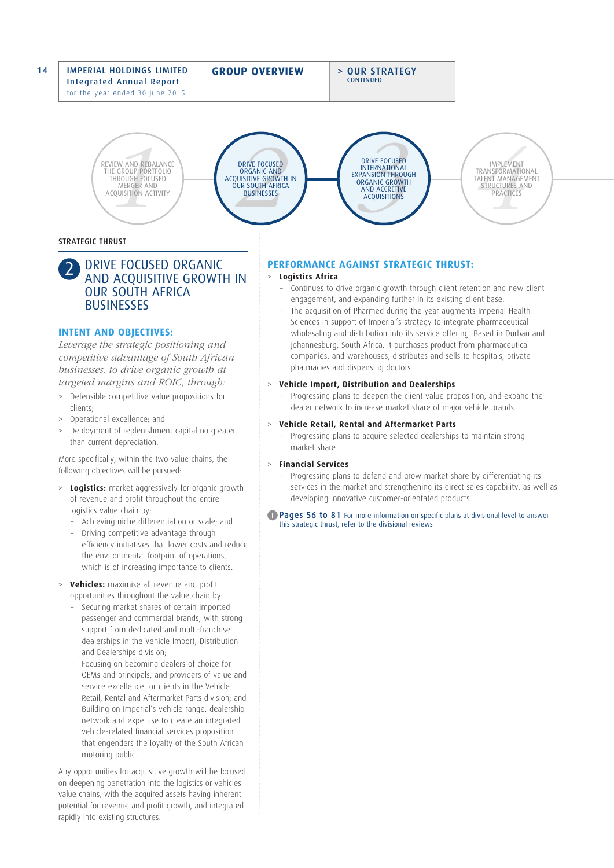## 14 | IMPERIAL HOLDINGS LIMITED Integrated Annual Report for the year ended 30 June 2015

**GROUP OVERVIEW** > OUR STRATEGY

**CONTINUED** 



DRIVE FOCUSED ORGANIC AND ACQUISITIVE GROWTH IN **OUR SOUTH AFRICA BUSINESSES** 



IMPLEMENT TRANSFORMATIONAL TALENT MANAGEMENT<br>STRUCTURES AND<br>PRACTICES

# STRATEGIC THRUST

# 2 DRIVE FOCUSED ORGANIC AND ACQUISITIVE GROWTH IN OUR SOUTH AFRICA **BUSINESSES**

# **INTENT AND OBJECTIVES:**

*Leverage the strategic positioning and competitive advantage of South African businesses, to drive organic growth at targeted margins and ROIC, through:* 

- > Defensible competitive value propositions for clients;
- > Operational excellence; and
- > Deployment of replenishment capital no greater than current depreciation.

More specifically, within the two value chains, the following objectives will be pursued:

- > **Logistics:** market aggressively for organic growth of revenue and profit throughout the entire logistics value chain by:
	- − Achieving niche differentiation or scale; and
	- − Driving competitive advantage through efficiency initiatives that lower costs and reduce the environmental footprint of operations, which is of increasing importance to clients.
- > **Vehicles:** maximise all revenue and profit opportunities throughout the value chain by:
	- − Securing market shares of certain imported passenger and commercial brands, with strong support from dedicated and multi-franchise dealerships in the Vehicle Import, Distribution and Dealerships division;
	- Focusing on becoming dealers of choice for OEMs and principals, and providers of value and service excellence for clients in the Vehicle Retail, Rental and Aftermarket Parts division; and
	- − Building on Imperial's vehicle range, dealership network and expertise to create an integrated vehicle-related financial services proposition that engenders the loyalty of the South African motoring public.

Any opportunities for acquisitive growth will be focused on deepening penetration into the logistics or vehicles value chains, with the acquired assets having inherent potential for revenue and profit growth, and integrated rapidly into existing structures.

# **PERFORMANCE AGAINST STRATEGIC THRUST:**

# > **Logistics Africa**

- − Continues to drive organic growth through client retention and new client engagement, and expanding further in its existing client base.
- The acquisition of Pharmed during the year augments Imperial Health Sciences in support of Imperial's strategy to integrate pharmaceutical wholesaling and distribution into its service offering. Based in Durban and Johannesburg, South Africa, it purchases product from pharmaceutical companies, and warehouses, distributes and sells to hospitals, private pharmacies and dispensing doctors.

## > **Vehicle Import, Distribution and Dealerships**

− Progressing plans to deepen the client value proposition, and expand the dealer network to increase market share of major vehicle brands.

## > **Vehicle Retail, Rental and Aftermarket Parts**

− Progressing plans to acquire selected dealerships to maintain strong market share.

## > **Financial Services**

− Progressing plans to defend and grow market share by differentiating its services in the market and strengthening its direct sales capability, as well as developing innovative customer-orientated products.

#### **Pages 56 to 81** For more information on specific plans at divisional level to answer this strategic thrust, refer to the divisional reviews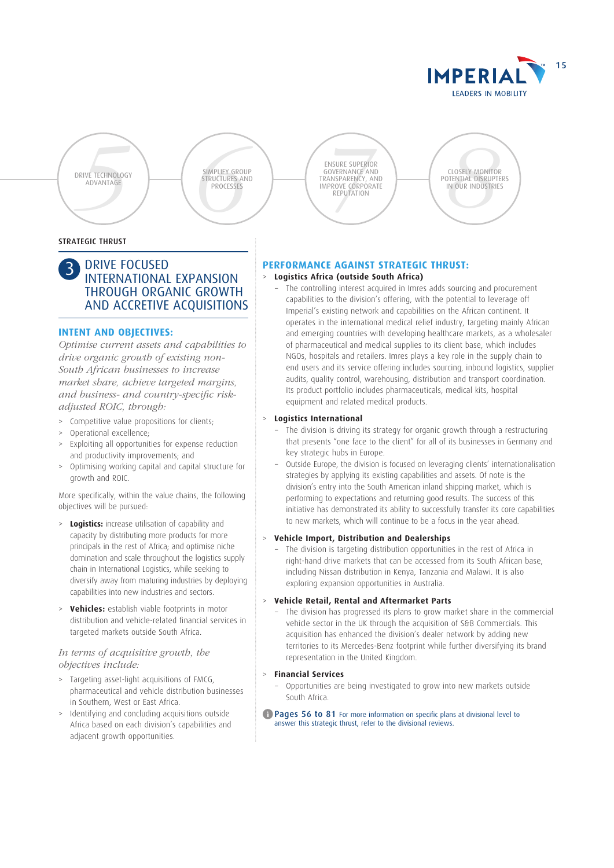

DRIVE TECHNOLOGY<br>ADVANTAGE







# STRATEGIC THRUST

# DRIVE FOCUSED INTERNATIONAL EXPANSION THROUGH ORGANIC GROWTH AND ACCRETIVE ACQUISITIONS

# **INTENT AND OBJECTIVES:**

*Optimise current assets and capabilities to drive organic growth of existing non-South African businesses to increase market share, achieve targeted margins, and business- and country-specific riskadjusted ROIC, through:* 

- > Competitive value propositions for clients;
- Operational excellence;
- Exploiting all opportunities for expense reduction and productivity improvements; and
- > Optimising working capital and capital structure for growth and ROIC.

More specifically, within the value chains, the following objectives will be pursued:

- > **Logistics:** increase utilisation of capability and capacity by distributing more products for more principals in the rest of Africa; and optimise niche domination and scale throughout the logistics supply chain in International Logistics, while seeking to diversify away from maturing industries by deploying capabilities into new industries and sectors.
- > **Vehicles:** establish viable footprints in motor distribution and vehicle-related financial services in targeted markets outside South Africa.

# *In terms of acquisitive growth, the objectives include:*

- > Targeting asset-light acquisitions of FMCG, pharmaceutical and vehicle distribution businesses in Southern, West or East Africa.
- > Identifying and concluding acquisitions outside Africa based on each division's capabilities and adiacent growth opportunities.

# **PERFORMANCE AGAINST STRATEGIC THRUST:**

## > **Logistics Africa (outside South Africa)**

The controlling interest acquired in Imres adds sourcing and procurement capabilities to the division's offering, with the potential to leverage off Imperial's existing network and capabilities on the African continent. It operates in the international medical relief industry, targeting mainly African and emerging countries with developing healthcare markets, as a wholesaler of pharmaceutical and medical supplies to its client base, which includes NGOs, hospitals and retailers. Imres plays a key role in the supply chain to end users and its service offering includes sourcing, inbound logistics, supplier audits, quality control, warehousing, distribution and transport coordination. Its product portfolio includes pharmaceuticals, medical kits, hospital equipment and related medical products.

#### > **Logistics International**

- The division is driving its strategy for organic growth through a restructuring that presents "one face to the client" for all of its businesses in Germany and key strategic hubs in Europe.
- − Outside Europe, the division is focused on leveraging clients' internationalisation strategies by applying its existing capabilities and assets. Of note is the division's entry into the South American inland shipping market, which is performing to expectations and returning good results. The success of this initiative has demonstrated its ability to successfully transfer its core capabilities to new markets, which will continue to be a focus in the year ahead.

#### > **Vehicle Import, Distribution and Dealerships**

The division is targeting distribution opportunities in the rest of Africa in right-hand drive markets that can be accessed from its South African base, including Nissan distribution in Kenya, Tanzania and Malawi. It is also exploring expansion opportunities in Australia.

## > **Vehicle Retail, Rental and Aftermarket Parts**

The division has progressed its plans to grow market share in the commercial vehicle sector in the UK through the acquisition of S&B Commercials. This acquisition has enhanced the division's dealer network by adding new territories to its Mercedes-Benz footprint while further diversifying its brand representation in the United Kingdom.

## > **Financial Services**

− Opportunities are being investigated to grow into new markets outside South Africa.

#### **Pages 56 to 81** For more information on specific plans at divisional level to answer this strategic thrust, refer to the divisional reviews.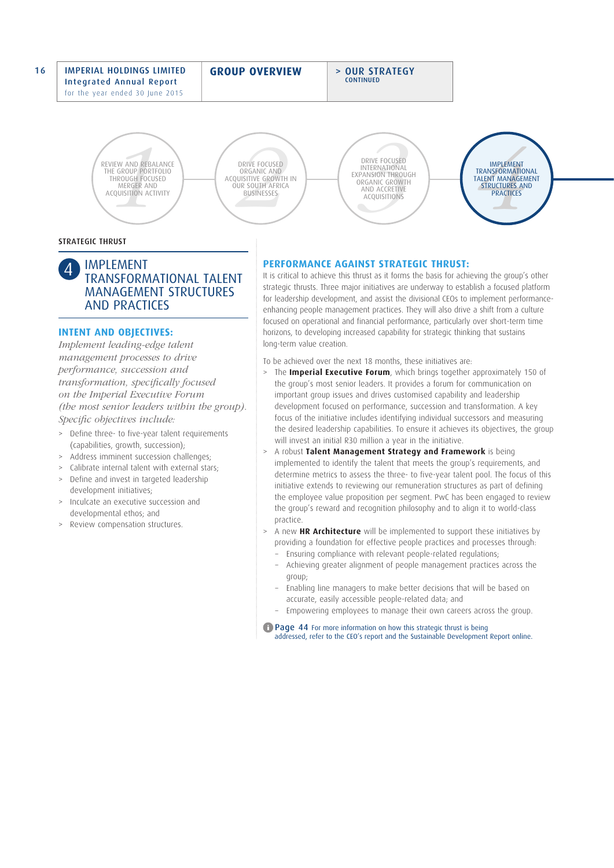#### 16 IMPERIAL HOLDINGS LIMITED Integrated Annual Report for the year ended 30 June 2015

**GROUP OVERVIEW** > OUR STRATEGY

**CONTINUED** 

**EXAMPLE AND REBALL THROUGH FOCUS<br>
HE GROUP PORTF<br>
THROUGH FOCUS<br>
MERGER AND<br>
CQUISITION ACTI** REVIEW AND REBALANCE THE GROUP PORTFOLIO THROUGH FOCUSED MERGER AND<br>ACQUISITION ACTIVITY



DRIVE FOCUSED INTERNATIONAL EXPANSION THROUGH ORGANIC GROWTH



## STRATEGIC THRUST

# **IMPLEMENT** TRANSFORMATIONAL TALENT MANAGEMENT STRUCTURES AND PRACTICES

# **INTENT AND OBJECTIVES:**

*Implement leading-edge talent management processes to drive performance, succession and transformation, specifically focused on the Imperial Executive Forum (the most senior leaders within the group). Specific objectives include:* 

- > Define three- to five-year talent requirements (capabilities, growth, succession);
- Address imminent succession challenges;
- Calibrate internal talent with external stars;
- > Define and invest in targeted leadership development initiatives;
- > Inculcate an executive succession and developmental ethos; and
- > Review compensation structures.

# **PERFORMANCE AGAINST STRATEGIC THRUST:**

It is critical to achieve this thrust as it forms the basis for achieving the group's other strategic thrusts. Three major initiatives are underway to establish a focused platform for leadership development, and assist the divisional CEOs to implement performanceenhancing people management practices. They will also drive a shift from a culture focused on operational and financial performance, particularly over short-term time horizons, to developing increased capability for strategic thinking that sustains long-term value creation.

To be achieved over the next 18 months, these initiatives are:

- > The **Imperial Executive Forum**, which brings together approximately 150 of the group's most senior leaders. It provides a forum for communication on important group issues and drives customised capability and leadership development focused on performance, succession and transformation. A key focus of the initiative includes identifying individual successors and measuring the desired leadership capabilities. To ensure it achieves its objectives, the group will invest an initial R30 million a year in the initiative.
- > A robust **Talent Management Strategy and Framework** is being implemented to identify the talent that meets the group's requirements, and determine metrics to assess the three- to five-year talent pool. The focus of this initiative extends to reviewing our remuneration structures as part of defining the employee value proposition per segment. PwC has been engaged to review the group's reward and recognition philosophy and to align it to world-class practice.
- > A new **HR Architecture** will be implemented to support these initiatives by providing a foundation for effective people practices and processes through:
	- − Ensuring compliance with relevant people-related regulations;
	- − Achieving greater alignment of people management practices across the group;
	- Enabling line managers to make better decisions that will be based on accurate, easily accessible people-related data; and
	- − Empowering employees to manage their own careers across the group.

**T** Page 44 For more information on how this strategic thrust is being addressed, refer to the CEO's report and the Sustainable Development Report online.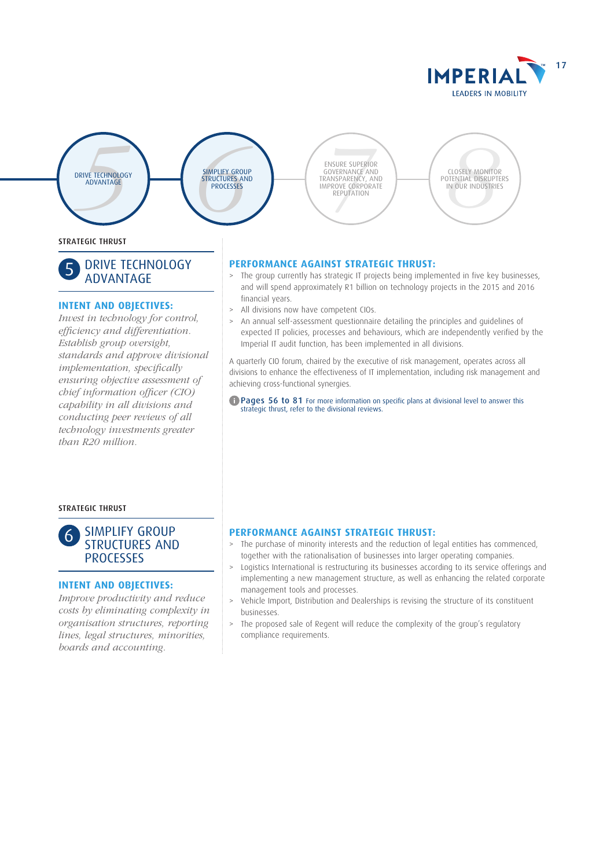





**PROCESSES**<br>
PROCESSES<br>
PROCESSES<br>
PROCESSES<br>
PROCESSES<br>
PROCESSES<br>
PROCESSES<br>
PROCESSES<br>
PROCESSES<br>
PROCESSES<br>
PROCESSES<br>
PROCESSES<br>
PROCESSES<br>
PROCESSES<br>
PROCESSES<br>
PROCESSES ENSURE SUPERIOR GOVERNANCE AND TRANSPARENCY, AND IMPROVE CORPORATE REPUTATION



# **PERFORMANCE AGAINST STRATEGIC THRUST:**

- > The group currently has strategic IT projects being implemented in five key businesses, and will spend approximately R1 billion on technology projects in the 2015 and 2016 financial years.
- > All divisions now have competent CIOs.
- > An annual self-assessment questionnaire detailing the principles and guidelines of expected IT policies, processes and behaviours, which are independently verified by the Imperial IT audit function, has been implemented in all divisions.

A quarterly CIO forum, chaired by the executive of risk management, operates across all divisions to enhance the effectiveness of IT implementation, including risk management and achieving cross-functional synergies.

#### **C** Pages 56 to 81 For more information on specific plans at divisional level to answer this strategic thrust, refer to the divisional reviews.

# **PERFORMANCE AGAINST STRATEGIC THRUST:**

- > The purchase of minority interests and the reduction of legal entities has commenced, together with the rationalisation of businesses into larger operating companies.
- > Logistics International is restructuring its businesses according to its service offerings and implementing a new management structure, as well as enhancing the related corporate management tools and processes.
- > Vehicle Import, Distribution and Dealerships is revising the structure of its constituent businesses.
- > The proposed sale of Regent will reduce the complexity of the group's regulatory compliance requirements.

STRATEGIC THRUST

# 5 DRIVE TECHNOLOGY ADVANTAGE

# **INTENT AND OBJECTIVES:**

*Invest in technology for control, efficiency and differentiation. Establish group oversight, standards and approve divisional implementation, specifically ensuring objective assessment of chief information officer (CIO) capability in all divisions and conducting peer reviews of all technology investments greater than R20 million.* 

STRATEGIC THRUST

# 6 SIMPLIFY GROUP STRUCTURES AND **PROCESSES**

# **INTENT AND OBJECTIVES:**

*Improve productivity and reduce costs by eliminating complexity in organisation structures, reporting lines, legal structures, minorities, boards and accounting.*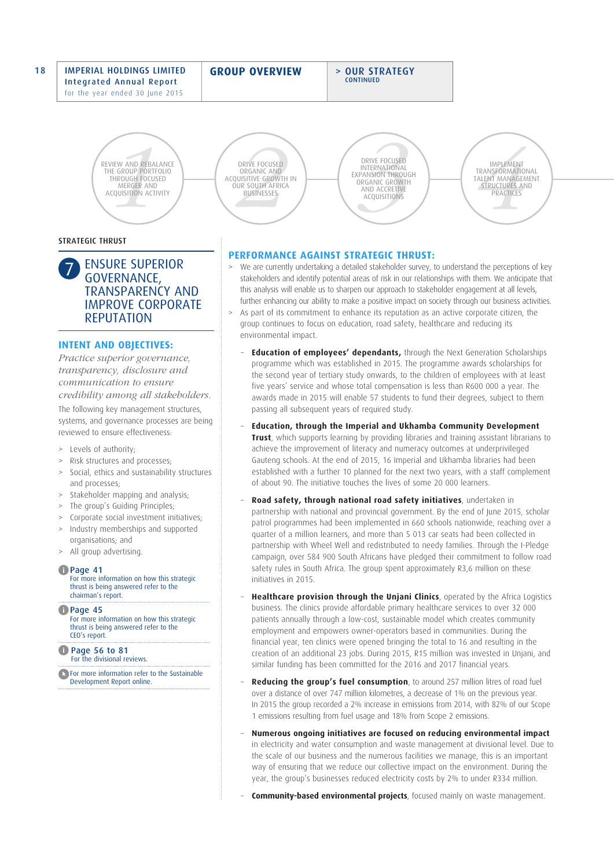#### 18 | IMPERIAL HOLDINGS LIMITED Integrated Annual Report for the year ended 30 June 2015

# **GROUP OVERVIEW** > OUR STRATEGY

**CONTINUED** 

**EXAMPLE AND REBALL THROUGH FOCUS<br>
HE GROUP PORTF<br>
THROUGH FOCUS<br>
MERGER AND<br>
CQUISITION ACTI** REVIEW AND REBALANCE THE GROUP PORTFOLIO THROUGH FOCUSED MERGER AND<br>ACQUISITION ACTIVITY

#### STRATEGIC THRUST

7 ENSURE SUPERIOR GOVERNANCE, TRANSPARENCY AND IMPROVE CORPORATE REPUTATION

# **INTENT AND OBJECTIVES:**

*Practice superior governance, transparency, disclosure and communication to ensure credibility among all stakeholders.* 

The following key management structures, systems, and governance processes are being reviewed to ensure effectiveness:

- > Levels of authority;
- > Risk structures and processes;
- Social, ethics and sustainability structures and processes;
- > Stakeholder mapping and analysis;
- > The group's Guiding Principles;
- > Corporate social investment initiatives;
- > Industry memberships and supported organisations; and
- > All group advertising.

#### **D** Page 41

For more information on how this strategic thrust is being answered refer to the chairman's report.

**D** Page 45 For more information on how this strategic thrust is being answered refer to the CEO's report.

**Page 56 to 81** For the divisional reviews.

**For more information refer to the Sustainable** Development Report online.

EVIEW AND REBALANCE<br>
THE GROUP PORTFOLIO ORGANIC AND ORGANIC AND CONSED<br>
THEOLOGISTION ACTIVITY<br>
ACQUISITION ACTIVITY<br>
ACQUISITION ACTIVITY<br>
ACQUISITION ACTIVITY<br>
ACQUISITION ACTIVITY<br>
PRACTICES DRIVE FOCUSED<br>
ORGANIC AND<br>
UNISITIVE GROWTH IN<br>
BUSINESSES<br>
EXPANSION THROUT AFRICA<br>
BUSINESSES<br>
AND ACCRETIVE<br>
ACQUISITIONS DRIVE FOCUSED ORGANIC AND ACQUISITIVE GROWTH IN OUR SOUTH AFRICA **BUSINESSES** 

STRUCTURES AND ACCRETIVE CONTRACT ACQUISITIONS DRIVE FOCUSED INTERNATIONAL EXPANSION THROUGH ORGANIC GROWTH

IMPLEMENT TRANSFORMATIONAL TALENT MANAGEMENT

# **PERFORMANCE AGAINST STRATEGIC THRUST:**

- > We are currently undertaking a detailed stakeholder survey, to understand the perceptions of key stakeholders and identify potential areas of risk in our relationships with them. We anticipate that this analysis will enable us to sharpen our approach to stakeholder engagement at all levels. further enhancing our ability to make a positive impact on society through our business activities.
- > As part of its commitment to enhance its reputation as an active corporate citizen, the group continues to focus on education, road safety, healthcare and reducing its environmental impact.
	- **Education of employees' dependants,** through the Next Generation Scholarships programme which was established in 2015. The programme awards scholarships for the second year of tertiary study onwards, to the children of employees with at least five years' service and whose total compensation is less than R600 000 a year. The awards made in 2015 will enable 57 students to fund their degrees, subject to them passing all subsequent years of required study.
	- − **Education, through the Imperial and Ukhamba Community Development Trust**, which supports learning by providing libraries and training assistant librarians to achieve the improvement of literacy and numeracy outcomes at underprivileged Gauteng schools. At the end of 2015, 16 Imperial and Ukhamba libraries had been established with a further 10 planned for the next two years, with a staff complement of about 90. The initiative touches the lives of some 20 000 learners.
	- − **Road safety, through national road safety initiatives**, undertaken in partnership with national and provincial government. By the end of June 2015, scholar patrol programmes had been implemented in 660 schools nationwide, reaching over a quarter of a million learners, and more than 5 013 car seats had been collected in partnership with Wheel Well and redistributed to needy families. Through the I-Pledge campaign, over 584 900 South Africans have pledged their commitment to follow road safety rules in South Africa. The group spent approximately R3,6 million on these initiatives in 2015.
	- **Healthcare provision through the Unjani Clinics**, operated by the Africa Logistics business. The clinics provide affordable primary healthcare services to over 32 000 patients annually through a low-cost, sustainable model which creates community employment and empowers owner-operators based in communities. During the financial year, ten clinics were opened bringing the total to 16 and resulting in the creation of an additional 23 jobs. During 2015, R15 million was invested in Unjani, and similar funding has been committed for the 2016 and 2017 financial years.
	- Reducing the group's fuel consumption, to around 257 million litres of road fuel over a distance of over 747 million kilometres, a decrease of 1% on the previous year. In 2015 the group recorded a 2% increase in emissions from 2014, with 82% of our Scope 1 emissions resulting from fuel usage and 18% from Scope 2 emissions.
	- − **Numerous ongoing initiatives are focused on reducing environmental impact** in electricity and water consumption and waste management at divisional level. Due to the scale of our business and the numerous facilities we manage, this is an important way of ensuring that we reduce our collective impact on the environment. During the year, the group's businesses reduced electricity costs by 2% to under R334 million.
	- − **Community-based environmental projects**, focused mainly on waste management.